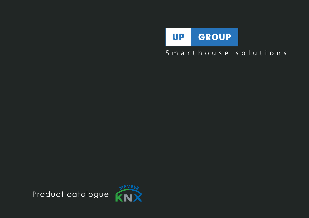

# Smarthouse solutions

Product catalogue

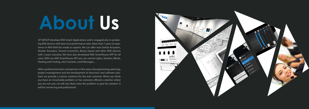UP GROUP develops KNX Smart Applications and is engaged also in producing KNX devices with best cost-performance ratio. More than 7 years of experience in KNX field has made us experts. We can offer now Switch Actuators, Shutter Actuators, Several converters, Binary Inputs and other KNX devices with 2 years warranty. We have also developed KNX SmartHouse APP for all users. With our KNX SmartHouse APP you can control Lights, Shutters, Blinds, Heating and Cooling, view Cameras, send Messages,…

With a professional team and partners in the areas of programming, planning, project management and the development of electronic and software solutions we provide a custom solutions for the end customer. When you think you have an irresolvable problem or has someone offered a solution where you are not sure, we will very likely solve the problem or give the solution. It will be convincing and professional.



# **About Us**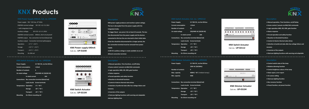**KNX Switch Actuator**  Cat.no.: **UP-02112**

# **KNX Switch Actuator, Cat. no.: UP02112**

| <b>Power Supply:</b>           |                                                  | 21~30V DC, via the EIB bus        |     |  |
|--------------------------------|--------------------------------------------------|-----------------------------------|-----|--|
| <b>Current consumption</b>     |                                                  | < 12mA                            |     |  |
| <b>Number of contacts</b>      |                                                  | 12                                |     |  |
| Un rated voltage               |                                                  | 250/440V AC (50/60 HZ)            |     |  |
|                                | In rated current                                 |                                   | 16A |  |
|                                | Connections: Bus connection terminal (black/red) |                                   |     |  |
|                                |                                                  | Load circuits Screw terminals     |     |  |
|                                | Temperature Operation -5°C ~45°C                 |                                   |     |  |
|                                | Storage                                          | -25 $^{\circ}$ C ~55 $^{\circ}$ C |     |  |
|                                | <b>Transport</b>                                 | $-25^{\circ}$ C ~70 $^{\circ}$ C  |     |  |
| Mounting On 35mm mounting rail |                                                  |                                   |     |  |
|                                |                                                  |                                   |     |  |

- **Manual operation, Time functions, on/off delay**
- **Scene control / presets via 8bit/1bit commands**
- **Logic operation AND, OR, XOR, gate function**
- **Status response**
- **Forced operation and safety function**
- **Reaction to threshold functions**
- **Control of electro thermal valve drives**
- **Selection of preferred state after bus voltage failure and**

# **recovery**

Power supply: 95V ~255 Vac, 47~63Hz EIB/KNX nominal voltage: 30 V DC +1/–2 V, SELV + with integrated choke Auxiliary voltage: 30 V DC +1/–1 V, SELV EIB/KNX nominal current: 640mA, short-circuit-proof EIB/KNX output: Bus connection terminal (black/red) Auxiliary output: Connection terminal (yellow/grey) Operation:  $-5 °C \approx +45 °C$ Storage:  $-25 °C \approx +55 °C$ Transport:  $-25 °C \approx +70 °C$ 

- **Inversion of the outputs**
- **Staircase lighting functions with warning and adaptable**

# **KNX Dimmer Actuator, Cat. no.: UP03104**

| <b>Power Supply:</b>      | 21~30V DC, via the EIB bus |
|---------------------------|----------------------------|
|                           | 230V AC (50/60Hz)          |
| <b>Number of contacts</b> | 4                          |
| Max. capacity             | 400W (~45°C Ambient temp.) |
| Min. capacity             | 40W                        |

**Connections: Bus connection terminal (black/red) Load circuits Screw terminals Temperature Operation -5**°C **~45**°C **Storage -25**°C **~55**°C **Transport -25**°C **~70**°C **Mounting On 35mm mounting rail**









- **Control switch state of the lamp**
- **Relative dimming function**
- **Control brightness values of the lamp**
- **State report, error report**
- **15 scenes setting**
- **Staircase lighting function**
- **Bus recovery function**
- **Preset function, set preset function KNX Dimmer Actuator**

Cat.no.: **UP-03104**



# **KNX Products**

**KNX Power supply 640mA** 

Primar;

 $\begin{picture}(16,10) \put(0,0){\vector(1,0){10}} \put(10,0){\vector(1,0){10}} \put(10,0){\vector(1,0){10}} \put(10,0){\vector(1,0){10}} \put(10,0){\vector(1,0){10}} \put(10,0){\vector(1,0){10}} \put(10,0){\vector(1,0){10}} \put(10,0){\vector(1,0){10}} \put(10,0){\vector(1,0){10}} \put(10,0){\vector(1,0){10}} \put(10,0){\vector(1,0){10}} \put(10,0){\vector(1$ 

Secondary

 $\cdot$  SEC $\rightarrow$   $\cdot$ 

 $maCf$ 

 $\frac{\text{input}}{\text{M-255VAC}} = \frac{\text{Output}}{\text{W-1}} = \frac{\text{two}}{\text{two}}$ 

–−

0000  $U^p$  01640

GON GINES



**KNX power supply produces and monitors system voltage. The bus is decoupled from the power supply with the integrated choke. To trigger Reset - you press it for at least 22 seconds. The bus line disconnected from the power supply and the devices connected to this bus line are returned to their initial state. If the line should be disconnected for a longer period, the bus connection terminal must be removed from power supply. A 30V DC auxiliary voltage is made available via an additional connection terminal.** 

**● Manual operation, Time functions, on/off delay ● Scene control / presets via 8bit/1bit commands ● Logic operation AND, OR, XOR, gate function ● Status response ● Forced operation and safety function ● Reaction to threshold functions ● Control of electro thermal valve drives**

**● Selection of preferred state after bus voltage failure and recovery** 

**● Inversion of the outputs**

**● Staircase lighting functions with warning and adaptable staircase lighting time**

**KNX Switch Actuator**  Cat.no.: **UP-02104**



# **KNX Switch Actuator, Cat. no.: UP02104**

**Power Supply: 21~30V DC, via the EIB bus Current consumption <12mA Number of contacts 4 Un rated voltage 250/440V AC (50/60 HZ) In rated current 16A Connections: Bus connection terminal (black/red) Load circuits Screw terminals Temperature Operation -5**°C **~45**°C **Storage -25**°C **~55**°C **Transport -25**°C **~70**°C **Mounting On 35mm mounting rail**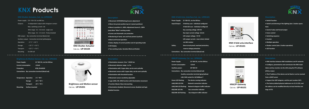**KNX 4-fold univ.interface**  Cat.no.: **UP-05101**

| Power Supply: | 21~30V DC, via the EIB bus                       |  |  |
|---------------|--------------------------------------------------|--|--|
| Input/Output: | 4-fold key scan - individual configured          |  |  |
|               | 4-fold LED scan - individual configured          |  |  |
|               | Key scanning voltage 20V DC                      |  |  |
|               | Key input current voltage 0,5mA                  |  |  |
|               | LED output voltage: 5V DC                        |  |  |
|               | LED output current: max.2,5mA, limited           |  |  |
|               | via $2k\Omega$ resistor                          |  |  |
| Safety:       | Short-circuit-proof, overload protection,        |  |  |
|               | reverse voltage protection                       |  |  |
|               | Connections: Bus connection terminal (black/red) |  |  |

- **Switch function**
- **Switch and dimming of the lighting (also 1 button opera-**

**tion)**

- **Send of value and forced output**
- **Scene control**
- **Switching sequence**
- **Counter**
- **Multiple operation**
- **Shutter control (also 1 button operation)**
- **LED function**

| <b>Power Supply:</b>                             | 21~30V DC. via the EIB bus            |  |  |
|--------------------------------------------------|---------------------------------------|--|--|
| <b>Current consumption</b>                       | $12mA$                                |  |  |
| <b>Auxiliary power:</b>                          | 20~30V DC                             |  |  |
| Connections: Bus connection terminal (black/red) |                                       |  |  |
| Auxiliry connection terminal (grey/yellow)       |                                       |  |  |
| LAN: RJ45 socket for 10/100Base-T                |                                       |  |  |
| <b>Green LED flashing:</b>                       | The device running indicator          |  |  |
| LAN/LINK LED ON:                                 | <b>Network connection indicator</b>   |  |  |
| LAN/LINK LED flashing:                           | Network telegram traffic indicator    |  |  |
| <b>EIB/LINK LED ON:</b>                          | <b>Bus connection indicator</b>       |  |  |
| EIB/LINK LED flashing:                           | <b>Bus telegram traffic indicator</b> |  |  |





Power supply: 21V ~30 V DC via KNX bus Outputs: 4 independent output with changover contact Max. switching current: 6A Wire range: 0.2 - 4.0 mm2 - single core Wire range: 0.2 - 2.5 mm2 - Finely stranded KNX output: Bus connection terminal (black/red) Auxiliary output: Connection terminal (yellow/grey) Operation:  $-5 °C ~+ 45 °C$ Storage:  $-25 °C \approx +55 °C$ Transport:  $-25 °C \approx +70 °C$ Mounting On DIN rail

- **KNX interface between KNX installations and IP networks**
- **Configure, parameterize and commission the KNX installation and bus monitor via the LAN using the ETS software (ETS3 or later)**
- **The IP address of the device can be fixed or can be received from a DHCP server**
- **Support the UDP telegram, and the port number 3671**
- **The factory default physical addresses are 15.15.255, and the address can be modified directly via local interface settings of ETS**



# **KNX Shutter Actuator, Cat. no.:UP04104**

# **KNX Products**



**● Movement UP/DOWN,Stop/Louvre adjustment ● Move into preset position (up to 2 preset positions) ● Move to position 0…100%, Adjustment louvre 0…100% (only Blind "Blind" working mode) ● Scenes and Automatic sun protection ● Monitoring of wind, rain and frost protect (cyclical) ● Block and Forced operation ● Status display of current position and of operating mode ● LED display ● Two working mode, Venetian Blind and Shutter**

- **Illumination measure: 0 lux ~ 65535 lux**
- **Movement detector range: to 7m**
- **Illumination with 3 types data; can be sent cyclically**
- **Movement sensor with 3 types data, can be sent cyclically**
- **Illumination with threshold function**
- **Movement sensor sensitivity adjustable**
- **Logic (AND, OR, XOR) function with illumination movement**
- **Function Master-Slave interworking**
- **Illumination disabled, Movement sensor disabled and logic disabled function**

**Brightness and Motion sensor**  Cat.no.: **UP-05201**



# **Brightness & Motion Sensor, Cat. no.: UP05201**

**Power Supply: 21~30V DC, via the EIB bus Current consumption <12mA Protection: IP20, EN 60529 Connections: Bus connection terminal (black/red)**

**Temperature Operation -5**°C **~45**°C **Storage -25**°C **~55**°C **Transport -25**°C **~70**°C **Mounting: Surface mounted**

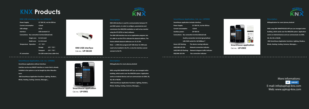

**SmartHouse application includes Interface: Power Supply: 21~30V DC, via the EIB bus Current consumption <12mA Auxiliary power: 20~30V DC Connections: Bus connection terminal (black/red) Auxiliry connection terminal (grey/yellow) LAN: RJ45 socket for 10/100Base-T Green LED flashing: The device running indicator LAN/LINK LED ON: Network connection indicator LAN/LINK LED flashing: Network telegram traffic indicator EIB/LINK LED ON: Bus connection indicator**

**KNXapplication for smart phones,Android**

**With using KNX SMARTHOUSE APP you can managed entire building, which works over the KNX/EIB system. Application works on Android devices and can communicate via GSM, 2G, 3G, 4G or WLAN.**

 **KNX SmartHouse Application functions: Lighting, Shutters, Blinds, Heating, Cooling, Cameras, Messages,...**

**With using KNX SMARTHOUSE APP you can managed entire building, which works over the KNX/EIB system. Application works on Android devices and can communicate via GSM, 2G, KNX SmartHouse Application functions: Lighting, Shutters, Blinds, Heating, Cooling, Cameras, Messages,... More informations:** 

| <b>Power Supply:</b>         |                                                  | 21~30V DC, via the EIB bus    |                       |
|------------------------------|--------------------------------------------------|-------------------------------|-----------------------|
| <b>Current consumption</b>   |                                                  | < 12mA                        |                       |
| <b>USB</b> voltage:          |                                                  | 5V DC                         |                       |
| Interface:                   |                                                  | <b>USB standard 2.0</b>       |                       |
|                              | Connections: Bus connection terminal (black/red) |                               |                       |
|                              | Single core:                                     | $0.2 - 6.0$ mm2               |                       |
|                              | Multi core:                                      | $0.2 - 4.0$ mm2               |                       |
| <b>Temperature Operation</b> |                                                  | -5°C ~45°C                    |                       |
|                              |                                                  | Storage                       | $-25^{\circ}$ C ~55°C |
|                              |                                                  | <b>Transport</b>              | $-25^{\circ}$ C ~70°C |
| <b>PC</b> connection         |                                                  | Via USB socket (max.cable=5m) |                       |



# **KNX Products**

**KNX USB interface**  Cat.no.: **UP-06102**



UP GROUP E-mail: info@upirup-knx.com Web: www.upirup-knx.com

**KNX USB Interface is used for communication between PC and KNX system, in order to configure, parameterize and commission the KNX/EIB installation as well as bus monitor using the ETS (ETS3 or later) software. The KNX USB Interface has not an application program, but it is able to use the ETS to allocate the physical address. The factory default physical addresses are 15.15.255. Note — a KNX drive program (UP USB driver for KNX.exe) need to be installed in the PC, or else the interface cannot connect to the PC.** 

**KNXapplication for smart phones,Android**

**3G, 4G or WLAN. Blinds, Heating, Cooling, Cameras, Messages,...**



Cat.no.: **UP-0901**



**SmartHouse application without Interface: Interface can be any KNX/IP interface or router that is already installed in the system or can be bought by other Manufacturer.**

 **KNX SmartHouse Application functions: Lighting, Shutters,**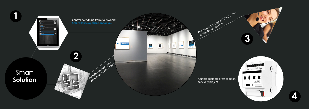